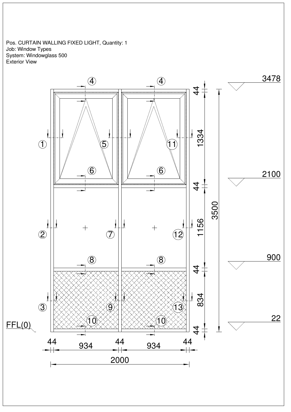Pos. CURTAIN WALLING FIXED LIGHT, Quantity: 1 Job: Window Types System: Windowglass 500 Exterior View

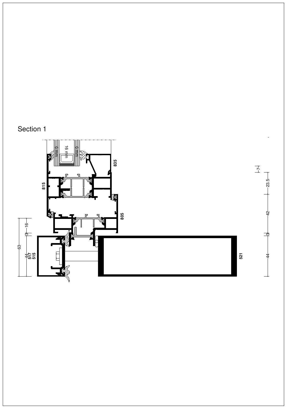

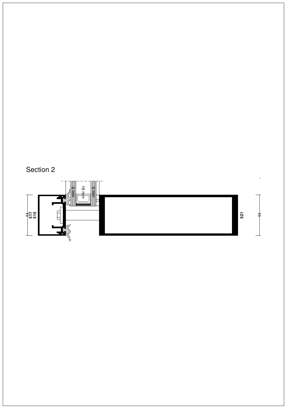

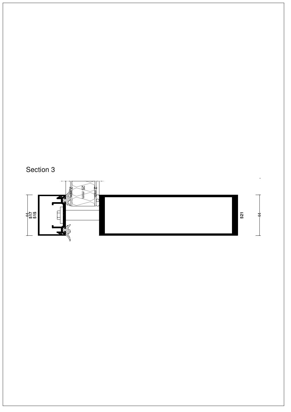

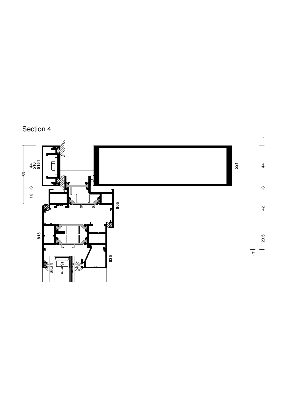

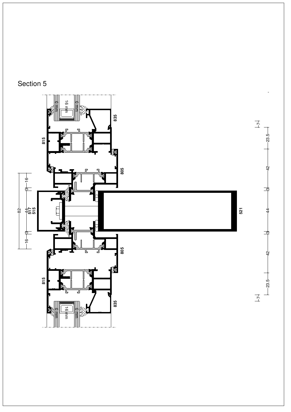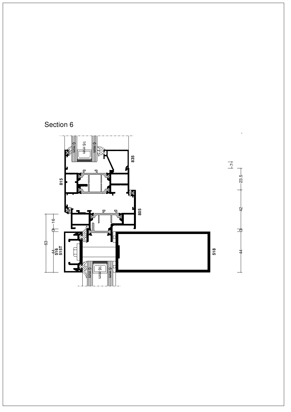

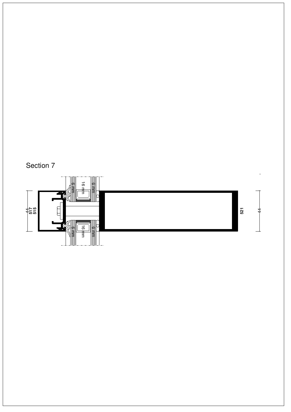



4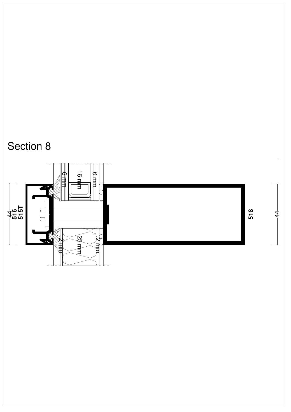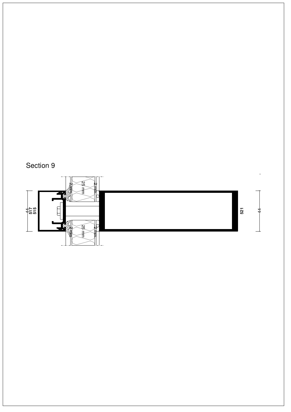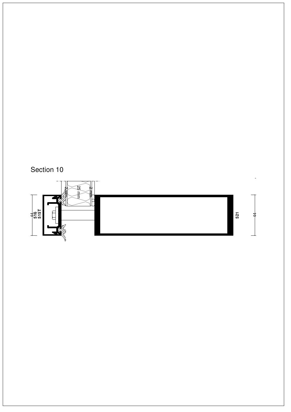



 $\begin{array}{ccc}\n & & \\
& \downarrow \\
& & \downarrow \\
& & \downarrow\n\end{array}$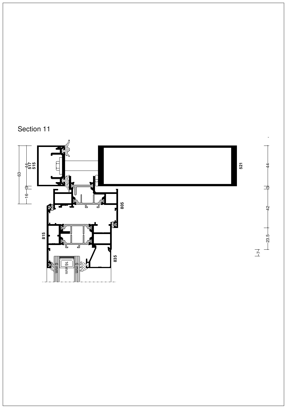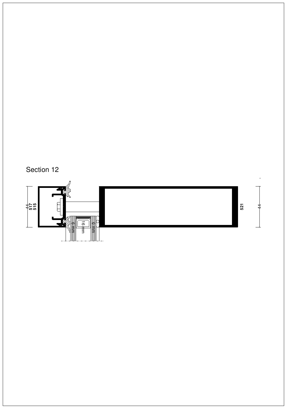



44